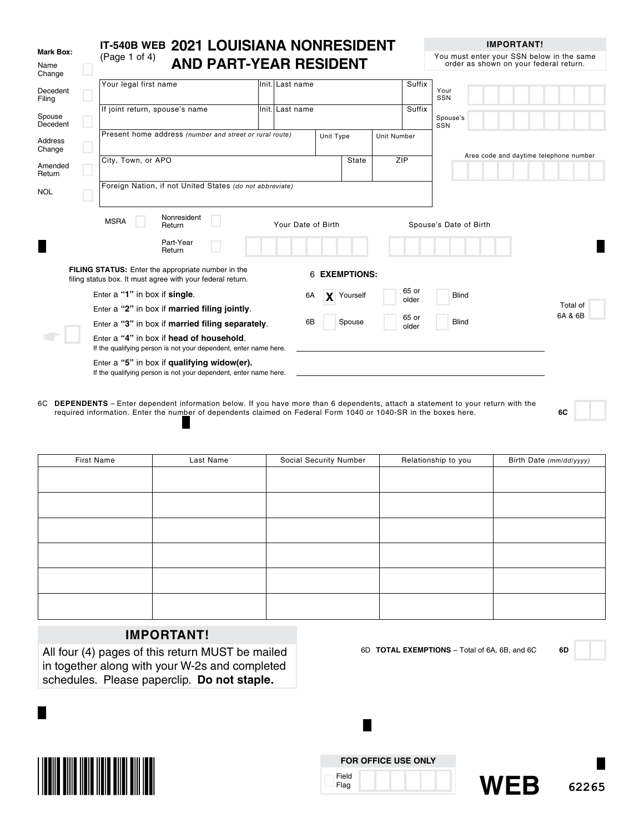|                             | IT-540B WEB 2021 LOUISIANA NONRESIDENT                                                                           |                 |                    |                    |                    | <b>IMPORTANT!</b>                                                                   |
|-----------------------------|------------------------------------------------------------------------------------------------------------------|-----------------|--------------------|--------------------|--------------------|-------------------------------------------------------------------------------------|
| Mark Box:<br>Name<br>Change | (Page 1 of 4)<br><b>AND PART-YEAR RESIDENT</b>                                                                   |                 |                    |                    |                    | You must enter your SSN below in the same<br>order as shown on your federal return. |
| Decedent<br>Filing          | Your legal first name                                                                                            | Init. Last name |                    |                    | Suffix             | Your<br>SSN                                                                         |
| Spouse<br>Decedent          | If joint return, spouse's name                                                                                   | Init. Last name |                    |                    | Suffix             | Spouse's<br>SSN                                                                     |
| Address<br>Change           | Present home address (number and street or rural route)                                                          |                 | Unit Type          |                    | <b>Unit Number</b> |                                                                                     |
| Amended<br>Return           | City, Town, or APO                                                                                               |                 |                    | State              | ZIP                | Area code and daytime telephone number                                              |
| <b>NOL</b>                  | Foreign Nation, if not United States (do not abbreviate)                                                         |                 |                    |                    |                    |                                                                                     |
|                             | Nonresident<br><b>MSRA</b><br>Return                                                                             |                 | Your Date of Birth |                    |                    | Spouse's Date of Birth                                                              |
|                             | Part-Year<br>Return                                                                                              |                 |                    |                    |                    |                                                                                     |
|                             | FILING STATUS: Enter the appropriate number in the<br>filing status box. It must agree with your federal return. |                 | 6.                 | <b>EXEMPTIONS:</b> |                    |                                                                                     |
|                             | Enter a "1" in box if single.                                                                                    |                 | 6A                 | Yourself           | 65 or<br>older     | <b>Blind</b>                                                                        |
|                             | Enter a "2" in box if married filing jointly.                                                                    |                 |                    |                    |                    | Total of                                                                            |
|                             | Enter a "3" in box if married filing separately.                                                                 |                 | 6B                 | Spouse             | 65 or<br>older     | 6A & 6B<br><b>Blind</b>                                                             |
|                             | Enter a "4" in box if head of household.<br>If the qualifying person is not your dependent, enter name here.     |                 |                    |                    |                    |                                                                                     |
|                             | Enter a "5" in box if qualifying widow(er).<br>If the qualifying person is not your dependent, enter name here.  |                 |                    |                    |                    |                                                                                     |

6C **DEPENDENTS** – Enter dependent information below. If you have more than 6 dependents, attach a statement to your return with the required information. Enter the number of dependents claimed on Federal Form 1040 or 1040-SR in the boxes here. **6C**

| First Name | Last Name | Social Security Number | Relationship to you | Birth Date (mm/dd/yyyy) |
|------------|-----------|------------------------|---------------------|-------------------------|
|            |           |                        |                     |                         |
|            |           |                        |                     |                         |
|            |           |                        |                     |                         |
|            |           |                        |                     |                         |
|            |           |                        |                     |                         |
|            |           |                        |                     |                         |
|            |           |                        |                     |                         |
|            |           |                        |                     |                         |
|            |           |                        |                     |                         |
|            |           |                        |                     |                         |
|            |           |                        |                     |                         |
|            |           |                        |                     |                         |

# **IMPORTANT!**

All four (4) pages of this return MUST be mailed in together along with your W-2s and completed schedules. Please paperclip. **Do not staple.**

6D **TOTAL EXEMPTIONS** – Total of 6A, 6B, and 6C **6D**



|               | <b>FOR OFFICE USE ONLY</b> |  |
|---------------|----------------------------|--|
| Field<br>Flag |                            |  |

н



**IMPORTANT!**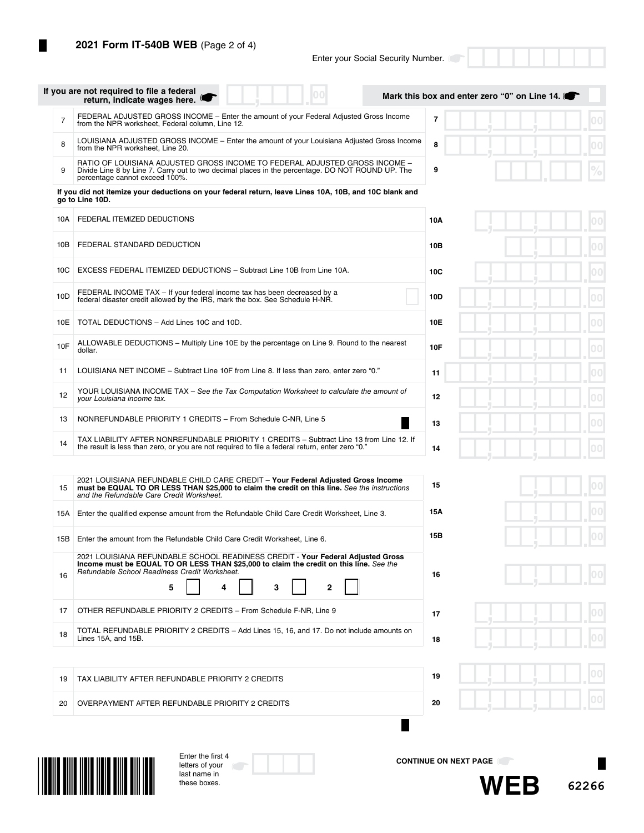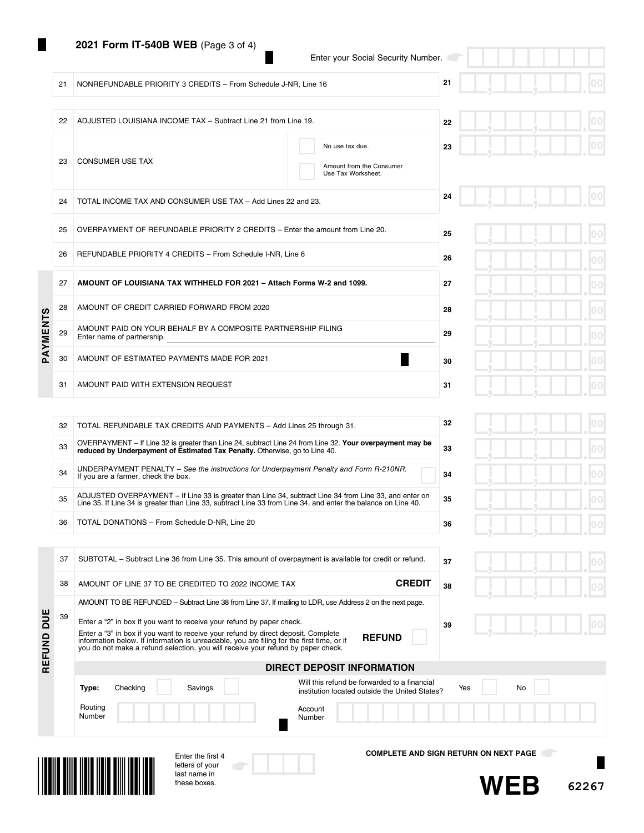### **2021 Form IT-540B WEB** (Page 3 of 4)

23 CONSUMER USE TAX

21 NONREFUNDABLE PRIORITY 3 CREDITS - From Schedule J-NR, Line 16

22 ADJUSTED LOUISIANA INCOME TAX – Subtract Line 21 from Line 19.

|  |  | Enter your Social Security Number. |
|--|--|------------------------------------|

No use tax due.

Amount from the Consumer Use Tax Worksheet.

**21**

**22**

**23**

|  | لجب |  | $\overline{\phantom{a}}$ | 00 <br>ш      |  |
|--|-----|--|--------------------------|---------------|--|
|  |     |  |                          | 00<br>00<br>ш |  |
|  |     |  |                          | 00            |  |

|              | 24 | TOTAL INCOME TAX AND CONSUMER USE TAX - Add Lines 22 and 23.                               | 24 |  |
|--------------|----|--------------------------------------------------------------------------------------------|----|--|
|              | 25 | OVERPAYMENT OF REFUNDABLE PRIORITY 2 CREDITS – Enter the amount from Line 20.              | 25 |  |
|              | 26 | REFUNDABLE PRIORITY 4 CREDITS - From Schedule I-NR, Line 6                                 | 26 |  |
|              | 27 | AMOUNT OF LOUISIANA TAX WITHHELD FOR 2021 - Attach Forms W-2 and 1099.                     | 27 |  |
|              | 28 | AMOUNT OF CREDIT CARRIED FORWARD FROM 2020                                                 | 28 |  |
| AYMENTS      | 29 | AMOUNT PAID ON YOUR BEHALF BY A COMPOSITE PARTNERSHIP FILING<br>Enter name of partnership. | 29 |  |
| $\mathbf{a}$ | 30 | AMOUNT OF ESTIMATED PAYMENTS MADE FOR 2021                                                 | 30 |  |
|              | 31 | AMOUNT PAID WITH EXTENSION REQUEST                                                         | 31 |  |

| 32 | TOTAL REFUNDABLE TAX CREDITS AND PAYMENTS - Add Lines 25 through 31.                                                                                                                                                    | 32 |
|----|-------------------------------------------------------------------------------------------------------------------------------------------------------------------------------------------------------------------------|----|
| 33 | OVERPAYMENT – If Line 32 is greater than Line 24, subtract Line 24 from Line 32. Your overpayment may be<br>reduced by Underpayment of Estimated Tax Penalty. Otherwise, go to Line 40.                                 | 33 |
| 34 | UNDERPAYMENT PENALTY – See the instructions for Underpayment Penalty and Form R-210NR.<br>If you are a farmer, check the box.                                                                                           | 34 |
| 35 | ADJUSTED OVERPAYMENT - If Line 33 is greater than Line 34, subtract Line 34 from Line 33, and enter on<br>Line 35. If Line 34 is greater than Line 33, subtract Line 33 from Line 34, and enter the balance on Line 40. | 35 |
| 36 | TOTAL DONATIONS - From Schedule D-NR, Line 20                                                                                                                                                                           | 36 |

37 SUBTOTAL – Subtract Line 36 from Line 35. This amount of overpayment is available for credit or refund.

| ų | ŋ | 00                  |
|---|---|---------------------|
| ۹ |   | 00<br>п             |
| ų |   | 0 <sub>0</sub><br>п |
| ų |   | 0 <sub>0</sub>      |
|   |   | 0 <sub>0</sub>      |

|  |  | в |
|--|--|---|
|  |  | I |

|               | 38 | AMOUNT OF LINE 37 TO BE CREDITED TO 2022 INCOME TAX                                                                                                                                                                                                                                                                                                                                                                                                      | <b>CREDIT</b><br>38                                                                                         |
|---------------|----|----------------------------------------------------------------------------------------------------------------------------------------------------------------------------------------------------------------------------------------------------------------------------------------------------------------------------------------------------------------------------------------------------------------------------------------------------------|-------------------------------------------------------------------------------------------------------------|
| DUE<br>REFUND | 39 | AMOUNT TO BE REFUNDED – Subtract Line 38 from Line 37. If mailing to LDR, use Address 2 on the next page.<br>Enter a "2" in box if you want to receive your refund by paper check.<br>Enter a "3" in box if you want to receive your refund by direct deposit. Complete<br>information below. If information is unreadable, you are filing for the first time, or if<br>you do not make a refund selection, you will receive your refund by paper check. | 39<br><b>REFUND</b>                                                                                         |
|               |    |                                                                                                                                                                                                                                                                                                                                                                                                                                                          | DIRECT DEPOSIT INFORMATION                                                                                  |
|               |    | Checking<br>Savings<br>Type:                                                                                                                                                                                                                                                                                                                                                                                                                             | Will this refund be forwarded to a financial<br>No<br>Yes<br>institution located outside the United States? |
|               |    | Routing<br>Number                                                                                                                                                                                                                                                                                                                                                                                                                                        | Account<br>Number                                                                                           |
|               |    | Enter the first 4                                                                                                                                                                                                                                                                                                                                                                                                                                        | <b>COMPLETE AND SIGN RETURN ON NEXT PAGE</b>                                                                |



letters of your last name in these boxes.

**37**



**62267**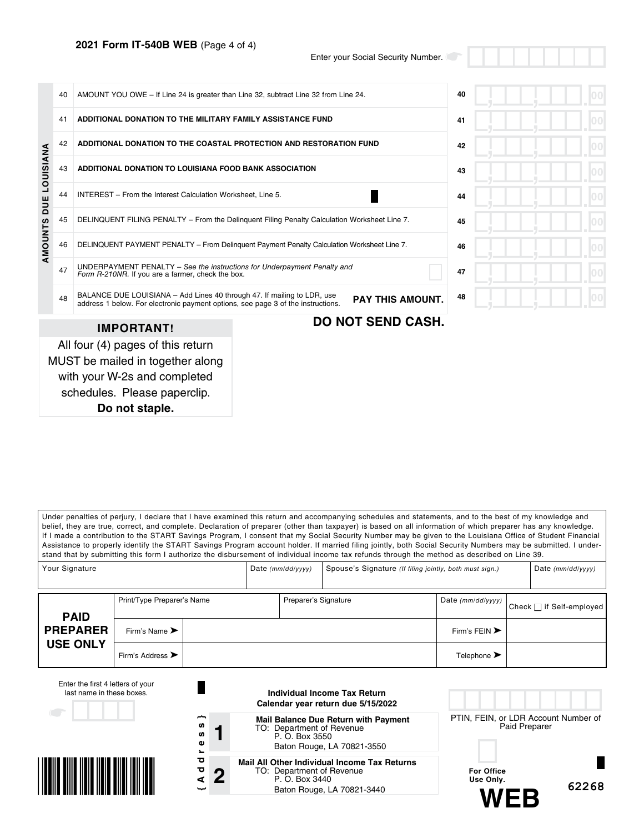### **2021 Form IT-540B WEB** (Page 4 of 4)

Enter your Social Security Number.

|                      | 40 | AMOUNT YOU OWE - If Line 24 is greater than Line 32, subtract Line 32 from Line 24.                                                                         |    | 40 |  |
|----------------------|----|-------------------------------------------------------------------------------------------------------------------------------------------------------------|----|----|--|
|                      | 41 | ADDITIONAL DONATION TO THE MILITARY FAMILY ASSISTANCE FUND                                                                                                  | 41 |    |  |
|                      | 42 | ADDITIONAL DONATION TO THE COASTAL PROTECTION AND RESTORATION FUND                                                                                          |    | 42 |  |
| <b>DUE LOUISIANA</b> | 43 | ADDITIONAL DONATION TO LOUISIANA FOOD BANK ASSOCIATION                                                                                                      | 43 |    |  |
|                      | 44 | INTEREST - From the Interest Calculation Worksheet. Line 5.                                                                                                 | 44 |    |  |
|                      | 45 | DELINQUENT FILING PENALTY - From the Delinguent Filing Penalty Calculation Worksheet Line 7.                                                                | 45 |    |  |
| AMOUNTS              | 46 | DELINQUENT PAYMENT PENALTY - From Delinguent Payment Penalty Calculation Worksheet Line 7.                                                                  | 46 |    |  |
|                      | 47 | UNDERPAYMENT PENALTY - See the instructions for Underpayment Penalty and<br>Form R-210NR. If you are a farmer, check the box.                               | 47 |    |  |
|                      | 48 | BALANCE DUE LOUISIANA - Add Lines 40 through 47. If mailing to LDR, use<br>address 1 below. For electronic payment options, see page 3 of the instructions. | 48 |    |  |
|                      |    | <b>IMPORTANT!</b>                                                                                                                                           |    |    |  |
|                      |    | All four (4) pages of this return                                                                                                                           |    |    |  |
|                      |    | MUST be mailed in together along                                                                                                                            |    |    |  |
|                      |    | with your W-2s and completed                                                                                                                                |    |    |  |

schedules. Please paperclip.

**Do not staple.**

Under penalties of perjury, I declare that I have examined this return and accompanying schedules and statements, and to the best of my knowledge and belief, they are true, correct, and complete. Declaration of preparer (other than taxpayer) is based on all information of which preparer has any knowledge. If I made a contribution to the START Savings Program, I consent that my Social Security Number may be given to the Louisiana Office of Student Financial Assistance to properly identify the START Savings Program account holder. If married filing jointly, both Social Security Numbers may be submitted. I understand that by submitting this form I authorize the disbursement of individual income tax refunds through the method as described on Line 39.

| Your Signature  |                                      | Date $(mm/dd/yyyy)$ | Spouse's Signature (If filing jointly, both must sign.) |                                   | Date $(mm/dd/yyyy)$      |
|-----------------|--------------------------------------|---------------------|---------------------------------------------------------|-----------------------------------|--------------------------|
| <b>PAID</b>     | Print/Type Preparer's Name           |                     | Preparer's Signature                                    | Date (mm/dd/yyyy)                 | Check □ if Self-employed |
| <b>PREPARER</b> | Firm's Name $\blacktriangleright$    |                     |                                                         | Firm's FEIN $\blacktriangleright$ |                          |
| <b>USE ONLY</b> | Firm's Address $\blacktriangleright$ |                     |                                                         | Telephone $\blacktriangleright$   |                          |

| Enter the first 4 letters of your<br>last name in these boxes.<br>$\begin{array}{ccc} & & \\ & & \end{array}$ |                                                             | Individual Income Tax Return<br>Calendar year return due 5/15/2022                                                        |                                                       |  |
|---------------------------------------------------------------------------------------------------------------|-------------------------------------------------------------|---------------------------------------------------------------------------------------------------------------------------|-------------------------------------------------------|--|
|                                                                                                               | ∼<br><b>SD</b><br><b>S</b><br>Φ<br>$\overline{\phantom{a}}$ | <b>Mail Balance Due Return with Payment</b><br>TO: Department of Revenue<br>P. O. Box 3550<br>Baton Rouge, LA 70821-3550  | PTIN, FEIN, or LDR Account Number of<br>Paid Preparer |  |
|                                                                                                               | ਠ<br>ਹ<br>n<br>⊄<br>ىب                                      | Mail All Other Individual Income Tax Returns<br>TO: Department of Revenue<br>P. O. Box 3440<br>Baton Rouge, LA 70821-3440 | For Office<br>Use Only.<br>62268                      |  |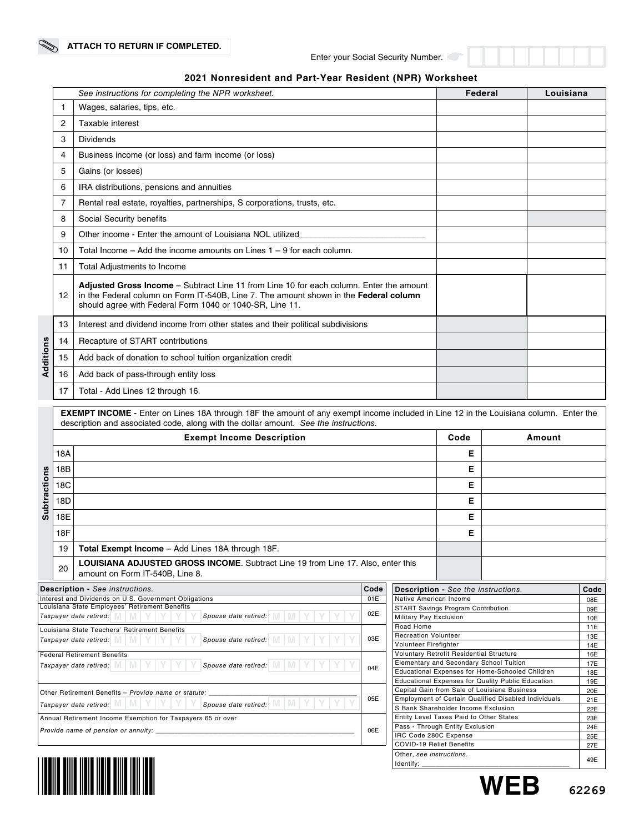|  |  | 2021 Nonresident and Part-Year Resident (NPR) Worksheet |
|--|--|---------------------------------------------------------|
|--|--|---------------------------------------------------------|

|                                                                                                                                                                                                                                                                                                           | 1          | See instructions for completing the NPR worksheet.<br>Wages, salaries, tips, etc.                                                                                                                                                            |      |      |                                          | Federal                                                                                                     |  |  | Louisiana  |
|-----------------------------------------------------------------------------------------------------------------------------------------------------------------------------------------------------------------------------------------------------------------------------------------------------------|------------|----------------------------------------------------------------------------------------------------------------------------------------------------------------------------------------------------------------------------------------------|------|------|------------------------------------------|-------------------------------------------------------------------------------------------------------------|--|--|------------|
|                                                                                                                                                                                                                                                                                                           | 2          | Taxable interest                                                                                                                                                                                                                             |      |      |                                          |                                                                                                             |  |  |            |
|                                                                                                                                                                                                                                                                                                           | 3          | <b>Dividends</b>                                                                                                                                                                                                                             |      |      |                                          |                                                                                                             |  |  |            |
|                                                                                                                                                                                                                                                                                                           | 4          | Business income (or loss) and farm income (or loss)                                                                                                                                                                                          |      |      |                                          |                                                                                                             |  |  |            |
|                                                                                                                                                                                                                                                                                                           | 5          | Gains (or losses)                                                                                                                                                                                                                            |      |      |                                          |                                                                                                             |  |  |            |
|                                                                                                                                                                                                                                                                                                           | 6          | IRA distributions, pensions and annuities                                                                                                                                                                                                    |      |      |                                          |                                                                                                             |  |  |            |
|                                                                                                                                                                                                                                                                                                           | 7          | Rental real estate, royalties, partnerships, S corporations, trusts, etc.                                                                                                                                                                    |      |      |                                          |                                                                                                             |  |  |            |
|                                                                                                                                                                                                                                                                                                           | 8          | Social Security benefits                                                                                                                                                                                                                     |      |      |                                          |                                                                                                             |  |  |            |
|                                                                                                                                                                                                                                                                                                           | 9          | Other income - Enter the amount of Louisiana NOL utilized                                                                                                                                                                                    |      |      |                                          |                                                                                                             |  |  |            |
|                                                                                                                                                                                                                                                                                                           | 10         | Total Income $-$ Add the income amounts on Lines $1 - 9$ for each column.                                                                                                                                                                    |      |      |                                          |                                                                                                             |  |  |            |
|                                                                                                                                                                                                                                                                                                           | 11         | Total Adjustments to Income                                                                                                                                                                                                                  |      |      |                                          |                                                                                                             |  |  |            |
|                                                                                                                                                                                                                                                                                                           | 12         | Adjusted Gross Income - Subtract Line 11 from Line 10 for each column. Enter the amount<br>in the Federal column on Form IT-540B, Line 7. The amount shown in the Federal column<br>should agree with Federal Form 1040 or 1040-SR, Line 11. |      |      |                                          |                                                                                                             |  |  |            |
|                                                                                                                                                                                                                                                                                                           | 13         | Interest and dividend income from other states and their political subdivisions                                                                                                                                                              |      |      |                                          |                                                                                                             |  |  |            |
|                                                                                                                                                                                                                                                                                                           | 14         | Recapture of START contributions                                                                                                                                                                                                             |      |      |                                          |                                                                                                             |  |  |            |
| Additions                                                                                                                                                                                                                                                                                                 | 15         | Add back of donation to school tuition organization credit                                                                                                                                                                                   |      |      |                                          |                                                                                                             |  |  |            |
|                                                                                                                                                                                                                                                                                                           | 16         | Add back of pass-through entity loss                                                                                                                                                                                                         |      |      |                                          |                                                                                                             |  |  |            |
|                                                                                                                                                                                                                                                                                                           | 17         | Total - Add Lines 12 through 16.                                                                                                                                                                                                             |      |      |                                          |                                                                                                             |  |  |            |
|                                                                                                                                                                                                                                                                                                           |            | description and associated code, along with the dollar amount. See the instructions.<br><b>Exempt Income Description</b>                                                                                                                     |      | Code | Amount                                   |                                                                                                             |  |  |            |
|                                                                                                                                                                                                                                                                                                           | 18A        |                                                                                                                                                                                                                                              |      |      |                                          | Е                                                                                                           |  |  |            |
|                                                                                                                                                                                                                                                                                                           | 18B        |                                                                                                                                                                                                                                              |      |      |                                          | Е                                                                                                           |  |  |            |
|                                                                                                                                                                                                                                                                                                           | 18C        |                                                                                                                                                                                                                                              |      | Е    |                                          |                                                                                                             |  |  |            |
| <b>Subtractions</b>                                                                                                                                                                                                                                                                                       | 18D        |                                                                                                                                                                                                                                              |      |      |                                          | E                                                                                                           |  |  |            |
|                                                                                                                                                                                                                                                                                                           | 18E        |                                                                                                                                                                                                                                              |      |      |                                          | Е                                                                                                           |  |  |            |
|                                                                                                                                                                                                                                                                                                           | <b>18F</b> |                                                                                                                                                                                                                                              |      |      |                                          | Е                                                                                                           |  |  |            |
|                                                                                                                                                                                                                                                                                                           | 19         | Total Exempt Income - Add Lines 18A through 18F.                                                                                                                                                                                             |      |      |                                          |                                                                                                             |  |  |            |
|                                                                                                                                                                                                                                                                                                           | 20         | <b>LOUISIANA ADJUSTED GROSS INCOME.</b> Subtract Line 19 from Line 17. Also, enter this<br>amount on Form IT-540B, Line 8.                                                                                                                   |      |      |                                          |                                                                                                             |  |  |            |
|                                                                                                                                                                                                                                                                                                           |            | Description - See instructions.                                                                                                                                                                                                              | Code |      |                                          | <b>Description - See the instructions.</b>                                                                  |  |  | Code       |
|                                                                                                                                                                                                                                                                                                           |            | Interest and Dividends on U.S. Government Obligations<br>Louisiana State Employees' Retirement Benefits                                                                                                                                      | 01E  |      |                                          | Native American Income<br>START Savings Program Contribution                                                |  |  | 08E<br>09E |
|                                                                                                                                                                                                                                                                                                           |            | Taxpayer date retired:<br>Spouse date retired:                                                                                                                                                                                               | 02E  |      | Military Pay Exclusion                   |                                                                                                             |  |  | 10E        |
|                                                                                                                                                                                                                                                                                                           |            | Louisiana State Teachers' Retirement Benefits<br>Spouse date retired:<br>Taxpayer date retired:                                                                                                                                              | 03E  |      | Road Home<br><b>Recreation Volunteer</b> |                                                                                                             |  |  | 11E<br>13E |
|                                                                                                                                                                                                                                                                                                           |            | <b>Federal Retirement Benefits</b>                                                                                                                                                                                                           |      |      | Volunteer Firefighter                    | <b>Voluntary Retrofit Residential Structure</b>                                                             |  |  | 14E<br>16E |
|                                                                                                                                                                                                                                                                                                           |            | Spouse date retired:<br>Taxpayer date retired:                                                                                                                                                                                               | 04E  |      |                                          | Elementary and Secondary School Tuition<br>Educational Expenses for Home-Schooled Children                  |  |  | 17E        |
|                                                                                                                                                                                                                                                                                                           |            |                                                                                                                                                                                                                                              |      |      |                                          | <b>Educational Expenses for Quality Public Education</b>                                                    |  |  | 18E<br>19E |
|                                                                                                                                                                                                                                                                                                           |            | Other Retirement Benefits - Provide name or statute:                                                                                                                                                                                         | 05E  |      |                                          | Capital Gain from Sale of Louisiana Business<br><b>Employment of Certain Qualified Disabled Individuals</b> |  |  | 20E<br>21E |
|                                                                                                                                                                                                                                                                                                           |            | Spouse date retired: MI                                                                                                                                                                                                                      |      |      |                                          |                                                                                                             |  |  | 22E        |
|                                                                                                                                                                                                                                                                                                           |            |                                                                                                                                                                                                                                              | 06E  |      |                                          |                                                                                                             |  |  | 23E<br>24E |
|                                                                                                                                                                                                                                                                                                           |            |                                                                                                                                                                                                                                              |      |      |                                          |                                                                                                             |  |  | 25E<br>27E |
| Taxpayer date retired:<br>S Bank Shareholder Income Exclusion<br>Entity Level Taxes Paid to Other States<br>Annual Retirement Income Exemption for Taxpayers 65 or over<br>Pass - Through Entity Exclusion<br>Provide name of pension or annuity: __<br>IRC Code 280C Expense<br>COVID-19 Relief Benefits |            |                                                                                                                                                                                                                                              |      |      |                                          |                                                                                                             |  |  |            |



L

Identify: \_\_\_\_\_\_\_\_\_\_\_\_\_\_\_\_\_\_\_\_\_\_\_\_\_\_\_\_\_\_\_\_\_\_\_\_\_\_\_\_\_\_ 49E

Other, *see instructions.*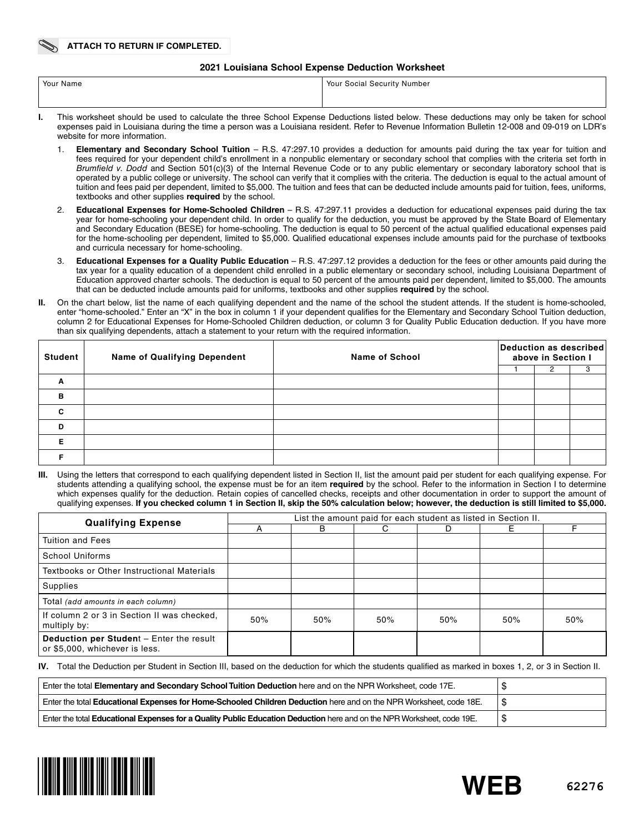#### **2021 Louisiana School Expense Deduction Worksheet**

| Your Name | Your Social Security Number                                                                                                               |
|-----------|-------------------------------------------------------------------------------------------------------------------------------------------|
|           |                                                                                                                                           |
|           | This weekshast shauld he was to soleylate the these Cabasi Evropes Dadystians listed holey: These dedystians moy soly he token for sobool |

- **I.** This worksheet should be used to calculate the three School Expense Deductions listed below. These deductions may only be taken for school expenses paid in Louisiana during the time a person was a Louisiana resident. Refer to Revenue Information Bulletin 12-008 and 09-019 on LDR's website for more information.
	- 1. **Elementary and Secondary School Tuition** R.S. 47:297.10 provides a deduction for amounts paid during the tax year for tuition and fees required for your dependent child's enrollment in a nonpublic elementary or secondary school that complies with the criteria set forth in *Brumfield v. Dodd* and Section 501(c)(3) of the Internal Revenue Code or to any public elementary or secondary laboratory school that is operated by a public college or university. The school can verify that it complies with the criteria. The deduction is equal to the actual amount of tuition and fees paid per dependent, limited to \$5,000. The tuition and fees that can be deducted include amounts paid for tuition, fees, uniforms, textbooks and other supplies **required** by the school.
	- 2. **Educational Expenses for Home-Schooled Children** R.S. 47:297.11 provides a deduction for educational expenses paid during the tax year for home-schooling your dependent child. In order to qualify for the deduction, you must be approved by the State Board of Elementary and Secondary Education (BESE) for home-schooling. The deduction is equal to 50 percent of the actual qualified educational expenses paid for the home-schooling per dependent, limited to \$5,000. Qualified educational expenses include amounts paid for the purchase of textbooks and curricula necessary for home-schooling.
	- 3. **Educational Expenses for a Quality Public Education** R.S. 47:297.12 provides a deduction for the fees or other amounts paid during the tax year for a quality education of a dependent child enrolled in a public elementary or secondary school, including Louisiana Department of Education approved charter schools. The deduction is equal to 50 percent of the amounts paid per dependent, limited to \$5,000. The amounts that can be deducted include amounts paid for uniforms, textbooks and other supplies **required** by the school.
- **II.** On the chart below, list the name of each qualifying dependent and the name of the school the student attends. If the student is home-schooled, enter "home-schooled." Enter an "X" in the box in column 1 if your dependent qualifies for the Elementary and Secondary School Tuition deduction, column 2 for Educational Expenses for Home-Schooled Children deduction, or column 3 for Quality Public Education deduction. If you have more than six qualifying dependents, attach a statement to your return with the required information.

| <b>Student</b> | <b>Name of Qualifying Dependent</b> | <b>Name of School</b> | Deduction as described<br>above in Section I |  |  |  |
|----------------|-------------------------------------|-----------------------|----------------------------------------------|--|--|--|
|                |                                     |                       |                                              |  |  |  |
| A              |                                     |                       |                                              |  |  |  |
| B              |                                     |                       |                                              |  |  |  |
| C              |                                     |                       |                                              |  |  |  |
| D              |                                     |                       |                                              |  |  |  |
| Е              |                                     |                       |                                              |  |  |  |
|                |                                     |                       |                                              |  |  |  |

Using the letters that correspond to each qualifying dependent listed in Section II, list the amount paid per student for each qualifying expense. For students attending a qualifying school, the expense must be for an item **required** by the school. Refer to the information in Section I to determine which expenses qualify for the deduction. Retain copies of cancelled checks, receipts and other documentation in order to support the amount of qualifying expenses. **If you checked column 1 in Section II, skip the 50% calculation below; however, the deduction is still limited to \$5,000.**

| <b>Qualifying Expense</b>                                                  | List the amount paid for each student as listed in Section II. |     |         |     |     |     |  |  |  |
|----------------------------------------------------------------------------|----------------------------------------------------------------|-----|---------|-----|-----|-----|--|--|--|
|                                                                            |                                                                | B   | C.<br>D |     | Е   |     |  |  |  |
| <b>Tuition and Fees</b>                                                    |                                                                |     |         |     |     |     |  |  |  |
| School Uniforms                                                            |                                                                |     |         |     |     |     |  |  |  |
| Textbooks or Other Instructional Materials                                 |                                                                |     |         |     |     |     |  |  |  |
| Supplies                                                                   |                                                                |     |         |     |     |     |  |  |  |
| Total (add amounts in each column)                                         |                                                                |     |         |     |     |     |  |  |  |
| If column 2 or 3 in Section II was checked.<br>multiply by:                | 50%                                                            | 50% | 50%     | 50% | 50% | 50% |  |  |  |
| Deduction per Student - Enter the result<br>or \$5,000, whichever is less. |                                                                |     |         |     |     |     |  |  |  |

**IV.** Total the Deduction per Student in Section III, based on the deduction for which the students qualified as marked in boxes 1, 2, or 3 in Section II.

| Enter the total Elementary and Secondary School Tuition Deduction here and on the NPR Worksheet, code 17E.             |    |
|------------------------------------------------------------------------------------------------------------------------|----|
| Enter the total Educational Expenses for Home-Schooled Children Deduction here and on the NPR Worksheet, code 18E.     |    |
| Enter the total Educational Expenses for a Quality Public Education Deduction here and on the NPR Worksheet, code 19E. | ۰D |

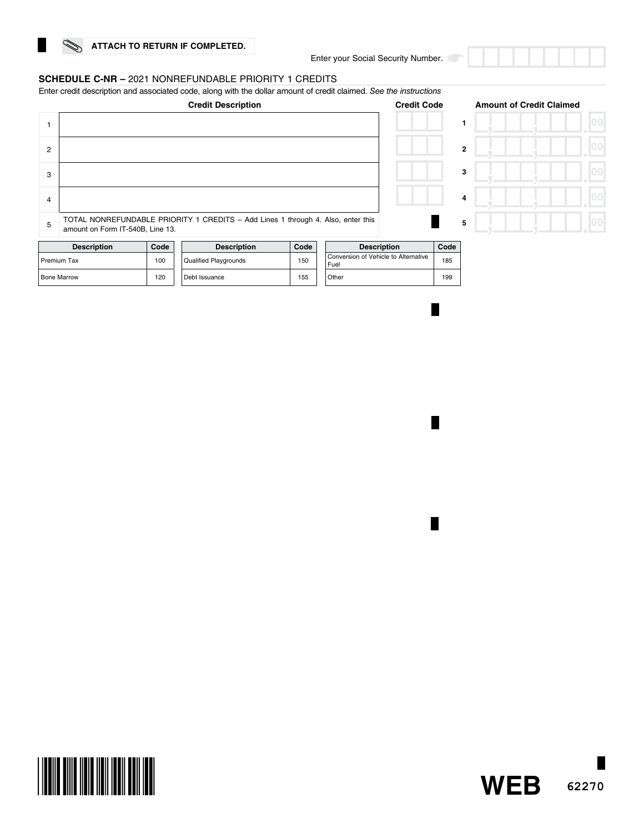#### **SCHEDULE C-NR –** 2021 NONREFUNDABLE PRIORITY 1 CREDITS

Enter credit description and associated code, along with the dollar amount of credit claimed. *See the instructions*



|              | <b>Amount of Credit Claimed</b> |                |
|--------------|---------------------------------|----------------|
|              |                                 | 0 <sub>0</sub> |
| $\mathbf{2}$ |                                 | 00             |
| 3            |                                 | 00             |
| 4            |                                 | 0 <sup>0</sup> |
| 5            |                                 | 00             |

| <b>Description</b> | Code | <b>Description</b>           | Code | <b>Description</b>                           |
|--------------------|------|------------------------------|------|----------------------------------------------|
| Premium Tax        | 100  | <b>Qualified Playgrounds</b> | 150  | Conversion of Vehicle to Alternative<br>Fuel |
| <b>Bone Marrow</b> | 120  | Debt Issuance                | 155  | Other                                        |

| <b>Description</b>                           | Code |  |
|----------------------------------------------|------|--|
| Conversion of Vehicle to Alternative<br>Fuel | 185  |  |
| Other                                        | 199  |  |
|                                              |      |  |

H

П



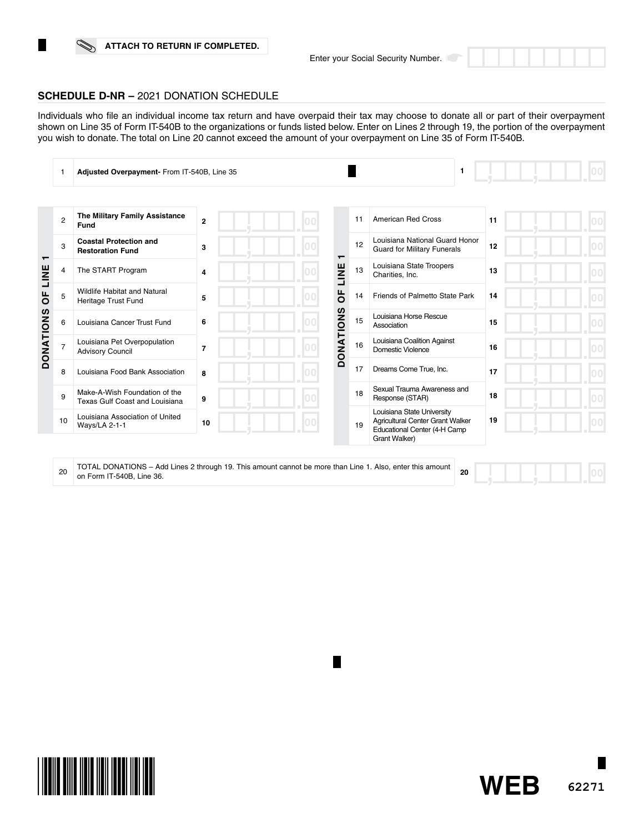### **ATTACH TO RETURN IF COMPLETED.**



Individuals who file an individual income tax return and have overpaid their tax may choose to donate all or part of their overpayment shown on Line 35 of Form IT-540B to the organizations or funds listed below. Enter on Lines 2 through 19, the portion of the overpayment you wish to donate. The total on Line 20 cannot exceed the amount of your overpayment on Line 35 of Form IT-540B.

|                  |                | Adjusted Overpayment- From IT-540B, Line 35                                                               |                |  |                  |                                                | 1                                                                                                               |    |  |
|------------------|----------------|-----------------------------------------------------------------------------------------------------------|----------------|--|------------------|------------------------------------------------|-----------------------------------------------------------------------------------------------------------------|----|--|
|                  |                |                                                                                                           |                |  |                  |                                                |                                                                                                                 |    |  |
|                  | $\overline{2}$ | The Military Family Assistance<br>Fund                                                                    | $\overline{2}$ |  |                  | 11                                             | <b>American Red Cross</b>                                                                                       | 11 |  |
| $\mathbf$        | 3              | <b>Coastal Protection and</b><br><b>Restoration Fund</b>                                                  | 3              |  | ┯                | 12                                             | Louisiana National Guard Honor<br><b>Guard for Military Funerals</b>                                            | 12 |  |
| LINE             | 4              | The START Program                                                                                         | 4              |  | LINE<br>ŏ        | 13                                             | Louisiana State Troopers<br>Charities, Inc.                                                                     | 13 |  |
| $\overline{0}$   | 5              | Wildlife Habitat and Natural<br>Heritage Trust Fund                                                       | 5              |  |                  | 14                                             | Friends of Palmetto State Park                                                                                  | 14 |  |
|                  | 6              | Louisiana Cancer Trust Fund                                                                               | 6              |  |                  | 15                                             | Louisiana Horse Rescue<br>Association                                                                           | 15 |  |
| <b>DONATIONS</b> | 7              | Louisiana Pet Overpopulation<br><b>Advisory Council</b>                                                   | $\overline{7}$ |  | <b>DONATIONS</b> | 16                                             | Louisiana Coalition Against<br><b>Domestic Violence</b>                                                         | 16 |  |
|                  | 8              | Louisiana Food Bank Association                                                                           | 8              |  |                  | 17                                             | Dreams Come True, Inc.                                                                                          | 17 |  |
|                  | 9              | Make-A-Wish Foundation of the<br>Texas Gulf Coast and Louisiana                                           | 9              |  | 18               | Sexual Trauma Awareness and<br>Response (STAR) | 18                                                                                                              |    |  |
|                  | 10             | Louisiana Association of United<br><b>Ways/LA 2-1-1</b>                                                   | 10             |  |                  | 19                                             | Louisiana State University<br>Agricultural Center Grant Walker<br>Educational Center (4-H Camp<br>Grant Walker) | 19 |  |
|                  |                |                                                                                                           |                |  |                  |                                                |                                                                                                                 |    |  |
|                  | 20             | TOTAL DONATIONS - Add Lines 2 through 19. This amount cannot be more than Line 1. Also, enter this amount |                |  |                  |                                                | 20                                                                                                              |    |  |

on Form IT-540B, Line 36.





 $|00|$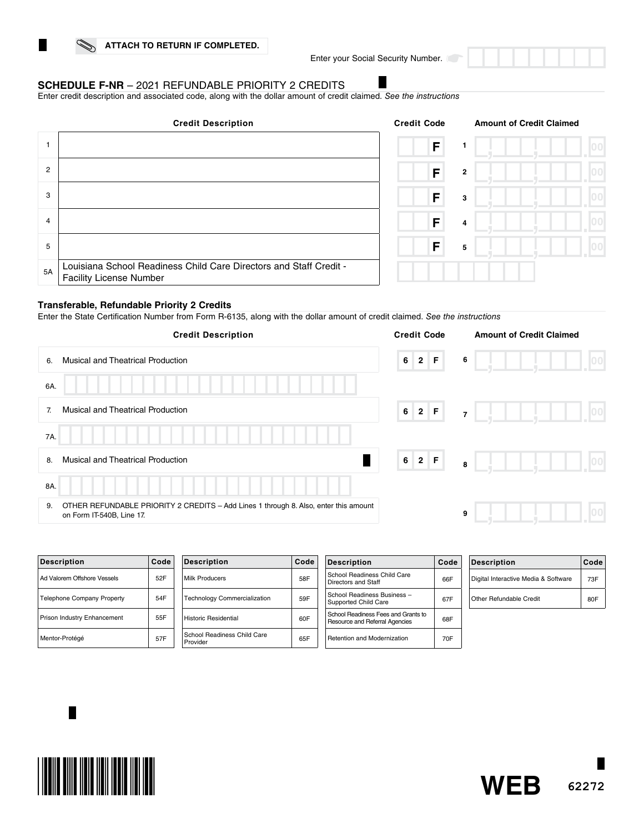Enter your Social Security Number.

### **SCHEDULE F-NR** – 2021 REFUNDABLE PRIORITY 2 CREDITS

Enter credit description and associated code, along with the dollar amount of credit claimed. *See the instructions*

|                | <b>Credit Description</b>                                                                            | <b>Credit Code</b> | <b>Amount of Credit Claimed</b> |  |
|----------------|------------------------------------------------------------------------------------------------------|--------------------|---------------------------------|--|
|                |                                                                                                      | F                  |                                 |  |
| $\overline{2}$ |                                                                                                      | F                  | $\mathbf{2}$                    |  |
| 3              |                                                                                                      | F                  | 3                               |  |
| 4              |                                                                                                      | F                  | $\overline{4}$                  |  |
| 5              |                                                                                                      | F                  | 5                               |  |
| 5A             | Louisiana School Readiness Child Care Directors and Staff Credit -<br><b>Facility License Number</b> |                    |                                 |  |

#### **Transferable, Refundable Priority 2 Credits**

Enter the State Certification Number from Form R-6135, along with the dollar amount of credit claimed. *See the instructions*

| <b>Credit Description</b>                                                                                               | <b>Credit Code</b>      | <b>Amount of Credit Claimed</b> |
|-------------------------------------------------------------------------------------------------------------------------|-------------------------|---------------------------------|
| <b>Musical and Theatrical Production</b><br>6.                                                                          | $2$ F<br>6 <sup>1</sup> | 6                               |
| 6A                                                                                                                      |                         |                                 |
| <b>Musical and Theatrical Production</b><br>7.                                                                          | $6$ 2 F                 | 100<br>$\overline{7}$           |
| 7A.                                                                                                                     |                         |                                 |
| <b>Musical and Theatrical Production</b><br>8.                                                                          | 6 2 F                   | 00 <br>8                        |
| 8A.                                                                                                                     |                         |                                 |
| OTHER REFUNDABLE PRIORITY 2 CREDITS - Add Lines 1 through 8. Also, enter this amount<br>9.<br>on Form IT-540B, Line 17. |                         | 9                               |
|                                                                                                                         |                         |                                 |

| <b>Description</b>                | Code | Deso            |
|-----------------------------------|------|-----------------|
| Ad Valorem Offshore Vessels       | 52F  | Milk P          |
| <b>Telephone Company Property</b> | 54F  | Techn           |
| Prison Industry Enhancement       | 55F  | Histor          |
| Mentor-Protégé                    | 57F  | Schoc<br>Provic |

| <b>Description</b>                      | Code |
|-----------------------------------------|------|
| Milk Producers                          | 58F  |
| <b>Technology Commercialization</b>     | 59F  |
| <b>Historic Residential</b>             | 60F  |
| School Readiness Child Care<br>Provider | 65F  |

| <b>Description</b>                                                    | Code |
|-----------------------------------------------------------------------|------|
| School Readiness Child Care<br>Directors and Staff                    | 66F  |
| School Readiness Business -<br>Supported Child Care                   | 67F  |
| School Readiness Fees and Grants to<br>Resource and Referral Agencies | 68F  |
| <b>Retention and Modernization</b>                                    | 70F  |

| Description                          | Code |
|--------------------------------------|------|
| Digital Interactive Media & Software | 73F  |
| Other Refundable Credit              | 80F  |



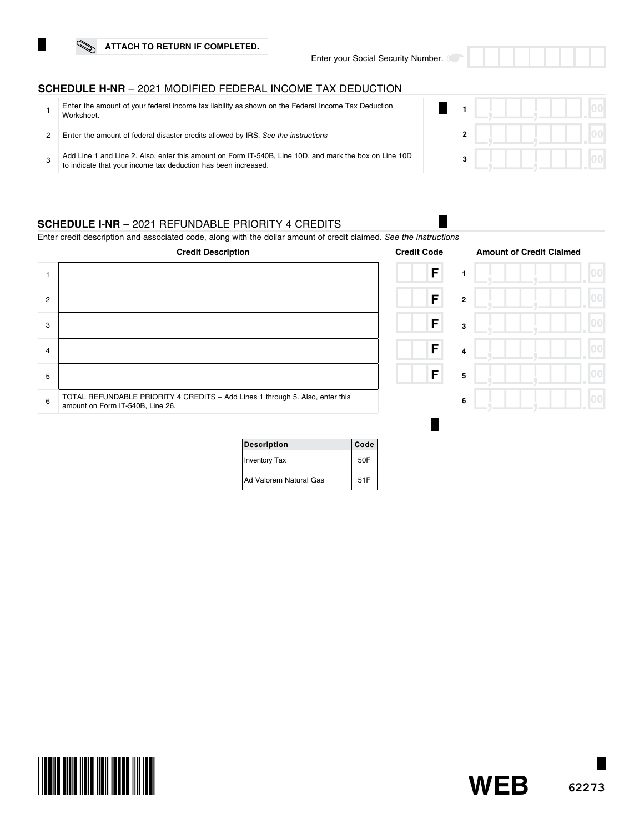**ATTACH TO RETURN IF COMPLETED.**

Enter your Social Security Number.

H.

# **SCHEDULE H-NR** – 2021 MODIFIED FEDERAL INCOME TAX DEDUCTION

| Enter the amount of your federal income tax liability as shown on the Federal Income Tax Deduction<br>Worksheet.                                                         |  |  |  |
|--------------------------------------------------------------------------------------------------------------------------------------------------------------------------|--|--|--|
| Enter the amount of federal disaster credits allowed by IRS. See the instructions                                                                                        |  |  |  |
| Add Line 1 and Line 2. Also, enter this amount on Form IT-540B, Line 10D, and mark the box on Line 10D<br>to indicate that your income tax deduction has been increased. |  |  |  |

### **SCHEDULE I-NR** – 2021 REFUNDABLE PRIORITY 4 CREDITS

Enter credit description and associated code, along with the dollar amount of credit claimed. *See the instructions*

|                | <b>Credit Description</b>                                                                                         | <b>Credit Code</b>  | <b>Amount of Credit Claimed</b> |
|----------------|-------------------------------------------------------------------------------------------------------------------|---------------------|---------------------------------|
|                |                                                                                                                   | F                   |                                 |
| $\overline{2}$ |                                                                                                                   | F<br>$\overline{2}$ |                                 |
| 3              |                                                                                                                   | F<br>3              |                                 |
| 4              |                                                                                                                   | F<br>4              |                                 |
| 5              |                                                                                                                   | F<br>5              |                                 |
| 6              | TOTAL REFUNDABLE PRIORITY 4 CREDITS - Add Lines 1 through 5. Also, enter this<br>amount on Form IT-540B, Line 26. | 6                   |                                 |

| <b>Description</b>     | Code |
|------------------------|------|
| <b>Inventory Tax</b>   | 50F  |
| Ad Valorem Natural Gas | 51F  |

**62273**

**WEB**

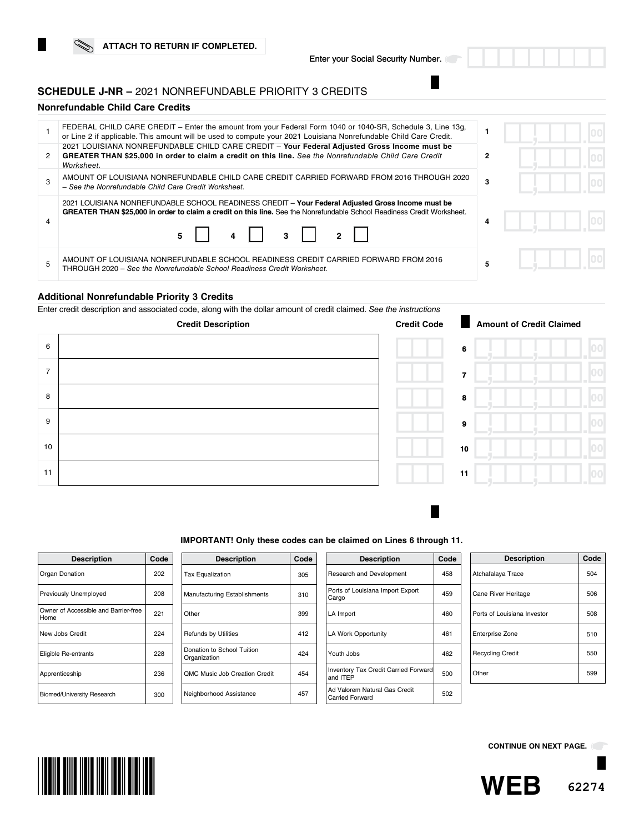### **SCHEDULE J-NR –** 2021 NONREFUNDABLE PRIORITY 3 CREDITS

### **Nonrefundable Child Care Credits**

|   | FEDERAL CHILD CARE CREDIT - Enter the amount from your Federal Form 1040 or 1040-SR, Schedule 3, Line 13g,<br>or Line 2 if applicable. This amount will be used to compute your 2021 Louisiana Nonrefundable Child Care Credit.                                                      |   |  |
|---|--------------------------------------------------------------------------------------------------------------------------------------------------------------------------------------------------------------------------------------------------------------------------------------|---|--|
| 2 | 2021 LOUISIANA NONREFUNDABLE CHILD CARE CREDIT - Your Federal Adjusted Gross Income must be<br>GREATER THAN \$25,000 in order to claim a credit on this line. See the Nonrefundable Child Care Credit<br>Worksheet.                                                                  |   |  |
|   | AMOUNT OF LOUISIANA NONREFUNDABLE CHILD CARE CREDIT CARRIED FORWARD FROM 2016 THROUGH 2020<br>- See the Nonrefundable Child Care Credit Worksheet.                                                                                                                                   | 3 |  |
|   | 2021 LOUISIANA NONREFUNDABLE SCHOOL READINESS CREDIT - Your Federal Adjusted Gross Income must be<br>GREATER THAN \$25,000 in order to claim a credit on this line. See the Nonrefundable School Readiness Credit Worksheet.<br>$4$ $\vert$ $3$ $\vert$ $2$ $\vert$<br>$5 \mid \mid$ | 4 |  |
|   | AMOUNT OF LOUISIANA NONREFUNDABLE SCHOOL READINESS CREDIT CARRIED FORWARD FROM 2016<br>THROUGH 2020 - See the Nonrefundable School Readiness Credit Worksheet.                                                                                                                       |   |  |

#### **Additional Nonrefundable Priority 3 Credits**

Enter credit description and associated code, along with the dollar amount of credit claimed. See



| the instructions   |    |        |
|--------------------|----|--------|
| <b>Credit Code</b> |    | Amount |
|                    | 6  |        |
|                    | 7  |        |
|                    | 8  |        |
|                    | 9  |        |
|                    | 10 |        |
|                    | 11 |        |
|                    |    |        |

#### **IMPORTANT! Only these codes can be claimed on Lines 6 through 11.**

| <b>Description</b>                           | Code |
|----------------------------------------------|------|
| Organ Donation                               | 202  |
| Previously Unemployed                        | 208  |
| Owner of Accessible and Barrier-free<br>Home | 221  |
| New Jobs Credit                              | 224  |
| Eligible Re-entrants                         | 228  |
| Apprenticeship                               | 236  |
| Biomed/University Research                   | 300  |

| <b>Description</b>                         | Code |
|--------------------------------------------|------|
| <b>Tax Equalization</b>                    | 305  |
| Manufacturing Establishments               | 310  |
| Other                                      | 399  |
| <b>Refunds by Utilities</b>                | 412  |
| Donation to School Tuition<br>Organization | 424  |
| <b>OMC Music Job Creation Credit</b>       | 454  |
| Neighborhood Assistance                    | 457  |

| <b>Description</b>                                      | Code |
|---------------------------------------------------------|------|
| Research and Development                                | 458  |
| Ports of Louisiana Import Export<br>Cargo               | 459  |
| LA Import                                               | 460  |
| <b>LA Work Opportunity</b>                              | 461  |
| Youth Jobs                                              | 462  |
| <b>Inventory Tax Credit Carried Forward</b><br>and ITEP | 500  |
| Ad Valorem Natural Gas Credit<br><b>Carried Forward</b> | 502  |

| <b>Description</b>          | Code |
|-----------------------------|------|
| Atchafalaya Trace           | 504  |
| Cane River Heritage         | 506  |
| Ports of Louisiana Investor | 508  |
| <b>Enterprise Zone</b>      | 510  |
| <b>Recycling Credit</b>     | 550  |
| Other                       | 599  |



**CONTINUE ON NEXT PAGE.**

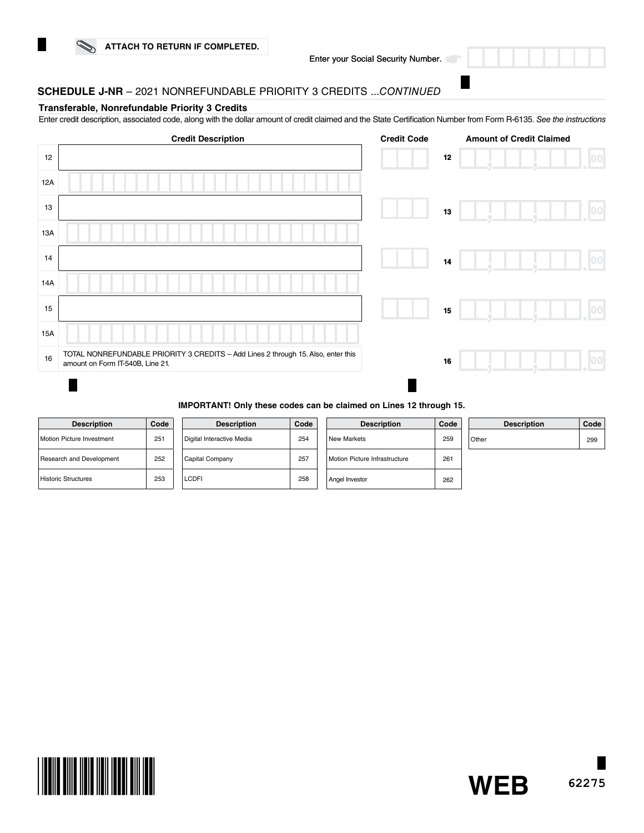

### **SCHEDULE J-NR** – 2021 NONREFUNDABLE PRIORITY 3 CREDITS ...*CONTINUED*

#### **Transferable, Nonrefundable Priority 3 Credits**

Enter credit description, associated code, along with the dollar amount of credit claimed and the State Certification Number from Form R-6135. *See the instructions*

|     | <b>Credit Description</b>                                                                                             | <b>Credit Code</b> |        | <b>Amount of Credit Claimed</b> |                  |
|-----|-----------------------------------------------------------------------------------------------------------------------|--------------------|--------|---------------------------------|------------------|
| 12  |                                                                                                                       |                    | $12\,$ |                                 | 00               |
| 12A |                                                                                                                       |                    |        |                                 |                  |
| 13  |                                                                                                                       |                    | 13     |                                 | 00               |
| 13A |                                                                                                                       |                    |        |                                 |                  |
| 14  |                                                                                                                       |                    | 14     |                                 | 100 <sub>1</sub> |
| 14A |                                                                                                                       |                    |        |                                 |                  |
| 15  |                                                                                                                       |                    | 15     |                                 | [00]             |
| 15A |                                                                                                                       |                    |        |                                 |                  |
| 16  | TOTAL NONREFUNDABLE PRIORITY 3 CREDITS - Add Lines 2 through 15. Also, enter this<br>amount on Form IT-540B, Line 21. |                    | 16     |                                 |                  |
|     |                                                                                                                       |                    |        |                                 |                  |

#### **IMPORTANT! Only these codes can be claimed on Lines 12 through 15.**

| <b>Description</b>               | Code |
|----------------------------------|------|
| <b>Motion Picture Investment</b> | 251  |
| Research and Development         | 252  |
| <b>Historic Structures</b>       | 253  |

|  | <b>Description</b>        | Code |  |
|--|---------------------------|------|--|
|  | Digital Interactive Media | 254  |  |
|  | Capital Company           | 257  |  |
|  | LCDFI                     | 258  |  |

| Code | <b>Description</b>            | Code | <b>Description</b> | Code |
|------|-------------------------------|------|--------------------|------|
| 254  | <b>New Markets</b>            | 259  | Other              | 299  |
| 257  | Motion Picture Infrastructure | 261  |                    |      |
| 258  | Angel Investor                | 262  |                    |      |

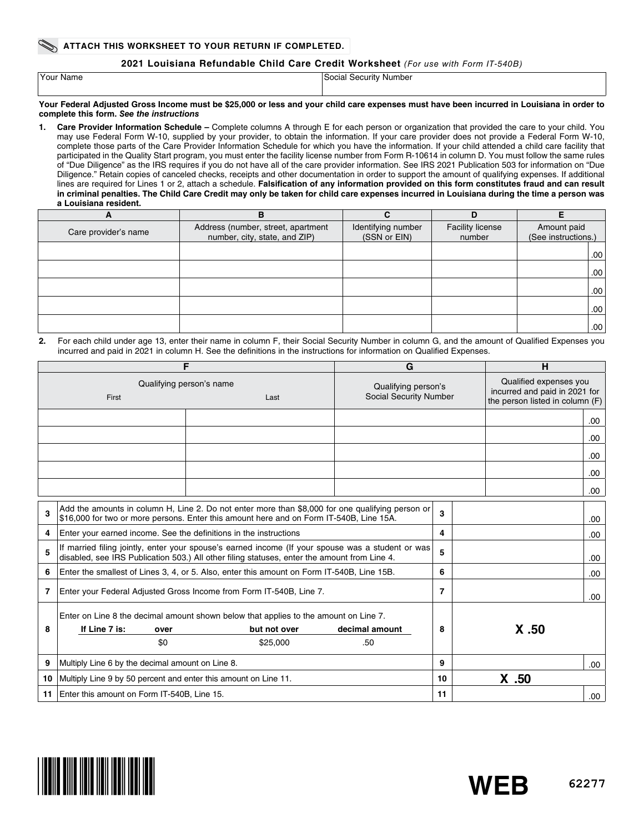#### **2021 Louisiana Refundable Child Care Credit Worksheet** *(For use with Form IT-540B)*

| Your Name | Social Security Number |
|-----------|------------------------|
|           |                        |

**Your Federal Adjusted Gross Income must be \$25,000 or less and your child care expenses must have been incurred in Louisiana in order to complete this form.** *See the instructions*

**1. Care Provider Information Schedule –** Complete columns A through E for each person or organization that provided the care to your child. You may use Federal Form W-10, supplied by your provider, to obtain the information. If your care provider does not provide a Federal Form W-10, complete those parts of the Care Provider Information Schedule for which you have the information. If your child attended a child care facility that participated in the Quality Start program, you must enter the facility license number from Form R-10614 in column D. You must follow the same rules of "Due Diligence" as the IRS requires if you do not have all of the care provider information. See IRS 2021 Publication 503 for information on "Due Diligence." Retain copies of canceled checks, receipts and other documentation in order to support the amount of qualifying expenses. If additional lines are required for Lines 1 or 2, attach a schedule. **Falsification of any information provided on this form constitutes fraud and can result in criminal penalties. The Child Care Credit may only be taken for child care expenses incurred in Louisiana during the time a person was a Louisiana resident.** 

| A                    | в                                                                   |                                    | D                          |                                    |
|----------------------|---------------------------------------------------------------------|------------------------------------|----------------------------|------------------------------------|
| Care provider's name | Address (number, street, apartment<br>number, city, state, and ZIP) | Identifying number<br>(SSN or EIN) | Facility license<br>number | Amount paid<br>(See instructions.) |
|                      |                                                                     |                                    |                            | .00.                               |
|                      |                                                                     |                                    |                            | .00.                               |
|                      |                                                                     |                                    |                            | .00.                               |
|                      |                                                                     |                                    |                            | .00.                               |
|                      |                                                                     |                                    |                            | .00.                               |

**2.** For each child under age 13, enter their name in column F, their Social Security Number in column G, and the amount of Qualified Expenses you incurred and paid in 2021 in column H. See the definitions in the instructions for information on Qualified Expenses.

| F                                         |                                                                                                                                                                                             |                                                                                                                                                                                                   | G                                             |    | H                                                                                          |      |
|-------------------------------------------|---------------------------------------------------------------------------------------------------------------------------------------------------------------------------------------------|---------------------------------------------------------------------------------------------------------------------------------------------------------------------------------------------------|-----------------------------------------------|----|--------------------------------------------------------------------------------------------|------|
| Qualifying person's name<br>First<br>Last |                                                                                                                                                                                             |                                                                                                                                                                                                   | Qualifying person's<br>Social Security Number |    | Qualified expenses you<br>incurred and paid in 2021 for<br>the person listed in column (F) |      |
|                                           |                                                                                                                                                                                             |                                                                                                                                                                                                   |                                               |    |                                                                                            | .00. |
|                                           |                                                                                                                                                                                             |                                                                                                                                                                                                   |                                               |    |                                                                                            | .00  |
|                                           |                                                                                                                                                                                             |                                                                                                                                                                                                   |                                               |    |                                                                                            | .00. |
|                                           |                                                                                                                                                                                             |                                                                                                                                                                                                   |                                               |    |                                                                                            | .00. |
|                                           |                                                                                                                                                                                             |                                                                                                                                                                                                   |                                               |    |                                                                                            | .00. |
| 3                                         | Add the amounts in column H, Line 2. Do not enter more than \$8,000 for one qualifying person or<br>\$16,000 for two or more persons. Enter this amount here and on Form IT-540B, Line 15A. |                                                                                                                                                                                                   |                                               | 3  |                                                                                            | .00. |
| 4                                         | Enter your earned income. See the definitions in the instructions                                                                                                                           |                                                                                                                                                                                                   |                                               | 4  |                                                                                            | .00. |
| 5                                         |                                                                                                                                                                                             | If married filing jointly, enter your spouse's earned income (If your spouse was a student or was<br>disabled, see IRS Publication 503.) All other filing statuses, enter the amount from Line 4. |                                               | 5  |                                                                                            | .00. |
| 6                                         |                                                                                                                                                                                             | Enter the smallest of Lines 3, 4, or 5. Also, enter this amount on Form IT-540B, Line 15B.                                                                                                        |                                               | 6  |                                                                                            | .00. |
| 7                                         |                                                                                                                                                                                             | Enter your Federal Adjusted Gross Income from Form IT-540B, Line 7.                                                                                                                               |                                               | 7  |                                                                                            | .00  |
| 8                                         | Enter on Line 8 the decimal amount shown below that applies to the amount on Line 7.<br>If Line 7 is:<br>but not over<br>decimal amount<br>over<br>.50                                      |                                                                                                                                                                                                   |                                               | 8  | X.50                                                                                       |      |
| 9                                         | \$0<br>Multiply Line 6 by the decimal amount on Line 8.                                                                                                                                     | \$25,000                                                                                                                                                                                          |                                               | 9  |                                                                                            |      |
| 10                                        | Multiply Line 9 by 50 percent and enter this amount on Line 11.                                                                                                                             |                                                                                                                                                                                                   |                                               | 10 | $X$ .50                                                                                    | .00. |
| 11                                        | Enter this amount on Form IT-540B, Line 15.                                                                                                                                                 |                                                                                                                                                                                                   |                                               | 11 |                                                                                            | .00. |

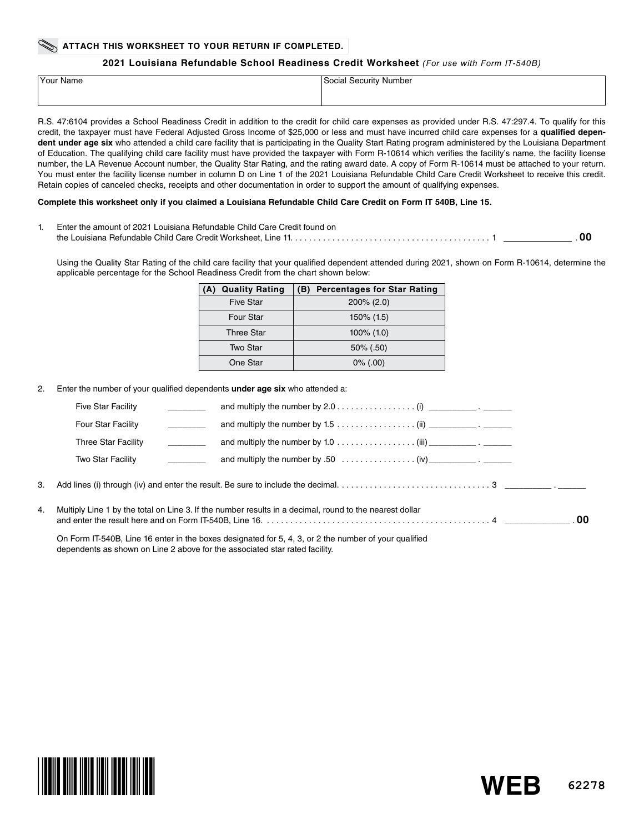#### **ATTACH THIS WORKSHEET TO YOUR RETURN IF COMPLETED.**

#### **2021 Louisiana Refundable School Readiness Credit Worksheet** *(For use with Form IT-540B)*

| <sup>1</sup> Your Name | Social Security Number |
|------------------------|------------------------|
|                        |                        |

R.S. 47:6104 provides a School Readiness Credit in addition to the credit for child care expenses as provided under R.S. 47:297.4. To qualify for this credit, the taxpayer must have Federal Adjusted Gross Income of \$25,000 or less and must have incurred child care expenses for a **qualified depen**dent under age six who attended a child care facility that is participating in the Quality Start Rating program administered by the Louisiana Department of Education. The qualifying child care facility must have provided the taxpayer with Form R-10614 which verifies the facility's name, the facility license number, the LA Revenue Account number, the Quality Star Rating, and the rating award date. A copy of Form R-10614 must be attached to your return. You must enter the facility license number in column D on Line 1 of the 2021 Louisiana Refundable Child Care Credit Worksheet to receive this credit. Retain copies of canceled checks, receipts and other documentation in order to support the amount of qualifying expenses.

#### **Complete this worksheet only if you claimed a Louisiana Refundable Child Care Credit on Form IT 540B, Line 15.**

| Enter the amount of 2021 Louisiana Refundable Child Care Credit found on |  |
|--------------------------------------------------------------------------|--|
|                                                                          |  |

Using the Quality Star Rating of the child care facility that your qualified dependent attended during 2021, shown on Form R-10614, determine the applicable percentage for the School Readiness Credit from the chart shown below:

| <b>Quality Rating</b><br>(A) | <b>Percentages for Star Rating</b><br>(B) |
|------------------------------|-------------------------------------------|
| <b>Five Star</b>             | $200\%$ (2.0)                             |
| <b>Four Star</b>             | $150\%$ (1.5)                             |
| <b>Three Star</b>            | $100\%$ (1.0)                             |
| Two Star                     | $50\%$ (.50)                              |
| One Star                     | $0\%$ (.00)                               |

2. Enter the number of your qualified dependents **under age six** who attended a:

|    | <b>Five Star Facility</b>                                                                             | and multiply the number by $2.0 \ldots \ldots \ldots \ldots$ (i) ______________.                        |  |
|----|-------------------------------------------------------------------------------------------------------|---------------------------------------------------------------------------------------------------------|--|
|    | Four Star Facility                                                                                    | and multiply the number by $1.5 \ldots \ldots \ldots \ldots$ (ii)                                       |  |
|    | Three Star Facility                                                                                   | and multiply the number by 1.0 $\dots \dots \dots \dots \dots$ (iii) ______________.                    |  |
|    | Two Star Facility                                                                                     |                                                                                                         |  |
| 3. |                                                                                                       |                                                                                                         |  |
| 4. |                                                                                                       | Multiply Line 1 by the total on Line 3. If the number results in a decimal, round to the nearest dollar |  |
|    | On Form IT-540B, Line 16 enter in the boxes designated for 5, 4, 3, or 2 the number of your qualified |                                                                                                         |  |

**62278**

**WEB**

dependents as shown on Line 2 above for the associated star rated facility.

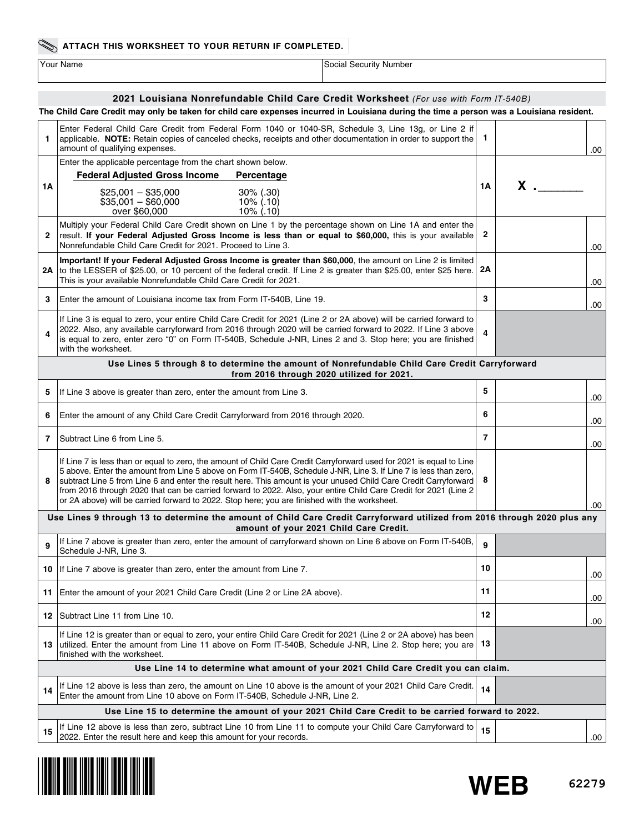### **ATTACH THIS WORKSHEET TO YOUR RETURN IF COMPLETED.**

| ∕our Name |  |
|-----------|--|

The Value of the Social Security Number Social Security Number

### **2021 Louisiana Nonrefundable Child Care Credit Worksheet** *(For use with Form IT-540B)*

| The Child Care Credit may only be taken for child care expenses incurred in Louisiana during the time a person was a Louisiana resident. |                                                                                                                                                                                                                                                                                                                                                                                                                                                                                                                                                                                        |              |          |  |  |  |  |  |
|------------------------------------------------------------------------------------------------------------------------------------------|----------------------------------------------------------------------------------------------------------------------------------------------------------------------------------------------------------------------------------------------------------------------------------------------------------------------------------------------------------------------------------------------------------------------------------------------------------------------------------------------------------------------------------------------------------------------------------------|--------------|----------|--|--|--|--|--|
| 1.                                                                                                                                       | Enter Federal Child Care Credit from Federal Form 1040 or 1040-SR, Schedule 3, Line 13g, or Line 2 if<br>applicable. NOTE: Retain copies of canceled checks, receipts and other documentation in order to support the<br>amount of qualifying expenses.                                                                                                                                                                                                                                                                                                                                | -1           | .00      |  |  |  |  |  |
| 1Α                                                                                                                                       | Enter the applicable percentage from the chart shown below.<br><b>Federal Adjusted Gross Income</b><br>Percentage                                                                                                                                                                                                                                                                                                                                                                                                                                                                      | 1А           | $x \sim$ |  |  |  |  |  |
|                                                                                                                                          | $$25,001 - $35,000$<br>$30\%$ (.30)<br>$$35,001 - $60,000$<br>$10\%$ (.10)<br>over \$60,000<br>$10\%$ (.10)                                                                                                                                                                                                                                                                                                                                                                                                                                                                            |              |          |  |  |  |  |  |
| 2                                                                                                                                        | Multiply your Federal Child Care Credit shown on Line 1 by the percentage shown on Line 1A and enter the<br>result. If your Federal Adjusted Gross Income is less than or equal to \$60,000, this is your available<br>Nonrefundable Child Care Credit for 2021. Proceed to Line 3.                                                                                                                                                                                                                                                                                                    | $\mathbf{2}$ | .00      |  |  |  |  |  |
|                                                                                                                                          | Important! If your Federal Adjusted Gross Income is greater than \$60,000, the amount on Line 2 is limited<br>2A to the LESSER of \$25.00, or 10 percent of the federal credit. If Line 2 is greater than \$25.00, enter \$25 here.<br>This is your available Nonrefundable Child Care Credit for 2021.                                                                                                                                                                                                                                                                                | 2Α           | .00      |  |  |  |  |  |
| 3                                                                                                                                        | Enter the amount of Louisiana income tax from Form IT-540B, Line 19.                                                                                                                                                                                                                                                                                                                                                                                                                                                                                                                   | 3            | .00      |  |  |  |  |  |
| 4                                                                                                                                        | If Line 3 is equal to zero, your entire Child Care Credit for 2021 (Line 2 or 2A above) will be carried forward to<br>2022. Also, any available carryforward from 2016 through 2020 will be carried forward to 2022. If Line 3 above<br>is equal to zero, enter zero "0" on Form IT-540B, Schedule J-NR, Lines 2 and 3. Stop here; you are finished<br>with the worksheet.                                                                                                                                                                                                             | 4            |          |  |  |  |  |  |
|                                                                                                                                          | Use Lines 5 through 8 to determine the amount of Nonrefundable Child Care Credit Carryforward<br>from 2016 through 2020 utilized for 2021.                                                                                                                                                                                                                                                                                                                                                                                                                                             |              |          |  |  |  |  |  |
| 5                                                                                                                                        | If Line 3 above is greater than zero, enter the amount from Line 3.                                                                                                                                                                                                                                                                                                                                                                                                                                                                                                                    | 5            | .00      |  |  |  |  |  |
| 6                                                                                                                                        | Enter the amount of any Child Care Credit Carryforward from 2016 through 2020.                                                                                                                                                                                                                                                                                                                                                                                                                                                                                                         | 6            | .00      |  |  |  |  |  |
| 7                                                                                                                                        | Subtract Line 6 from Line 5.                                                                                                                                                                                                                                                                                                                                                                                                                                                                                                                                                           | 7            | .00      |  |  |  |  |  |
| 8                                                                                                                                        | If Line 7 is less than or equal to zero, the amount of Child Care Credit Carryforward used for 2021 is equal to Line<br>5 above. Enter the amount from Line 5 above on Form IT-540B, Schedule J-NR, Line 3. If Line 7 is less than zero,<br>8<br>subtract Line 5 from Line 6 and enter the result here. This amount is your unused Child Care Credit Carryforward<br>from 2016 through 2020 that can be carried forward to 2022. Also, your entire Child Care Credit for 2021 (Line 2<br>or 2A above) will be carried forward to 2022. Stop here; you are finished with the worksheet. |              |          |  |  |  |  |  |
|                                                                                                                                          | Use Lines 9 through 13 to determine the amount of Child Care Credit Carryforward utilized from 2016 through 2020 plus any<br>amount of your 2021 Child Care Credit.                                                                                                                                                                                                                                                                                                                                                                                                                    |              | .00      |  |  |  |  |  |
| 9                                                                                                                                        | If Line 7 above is greater than zero, enter the amount of carryforward shown on Line 6 above on Form IT-540B,<br>Schedule J-NR, Line 3.                                                                                                                                                                                                                                                                                                                                                                                                                                                | 9            |          |  |  |  |  |  |
|                                                                                                                                          | 10 If Line 7 above is greater than zero, enter the amount from Line 7.                                                                                                                                                                                                                                                                                                                                                                                                                                                                                                                 | 10           | .00      |  |  |  |  |  |
|                                                                                                                                          | 11 Enter the amount of your 2021 Child Care Credit (Line 2 or Line 2A above).                                                                                                                                                                                                                                                                                                                                                                                                                                                                                                          | 11           | .00      |  |  |  |  |  |
|                                                                                                                                          | 12   Subtract Line 11 from Line 10.                                                                                                                                                                                                                                                                                                                                                                                                                                                                                                                                                    | 12           | .00      |  |  |  |  |  |
| 13.                                                                                                                                      | If Line 12 is greater than or equal to zero, your entire Child Care Credit for 2021 (Line 2 or 2A above) has been<br>utilized. Enter the amount from Line 11 above on Form IT-540B, Schedule J-NR, Line 2. Stop here; you are<br>finished with the worksheet.                                                                                                                                                                                                                                                                                                                          | 13           |          |  |  |  |  |  |
|                                                                                                                                          | Use Line 14 to determine what amount of your 2021 Child Care Credit you can claim.                                                                                                                                                                                                                                                                                                                                                                                                                                                                                                     |              |          |  |  |  |  |  |
| 14                                                                                                                                       | If Line 12 above is less than zero, the amount on Line 10 above is the amount of your 2021 Child Care Credit.<br>14<br>Enter the amount from Line 10 above on Form IT-540B. Schedule J-NR, Line 2.                                                                                                                                                                                                                                                                                                                                                                                     |              |          |  |  |  |  |  |
|                                                                                                                                          | Use Line 15 to determine the amount of your 2021 Child Care Credit to be carried forward to 2022.                                                                                                                                                                                                                                                                                                                                                                                                                                                                                      |              |          |  |  |  |  |  |
| 15                                                                                                                                       | If Line 12 above is less than zero, subtract Line 10 from Line 11 to compute your Child Care Carryforward to<br>2022. Enter the result here and keep this amount for your records.                                                                                                                                                                                                                                                                                                                                                                                                     | 15           | .00.     |  |  |  |  |  |

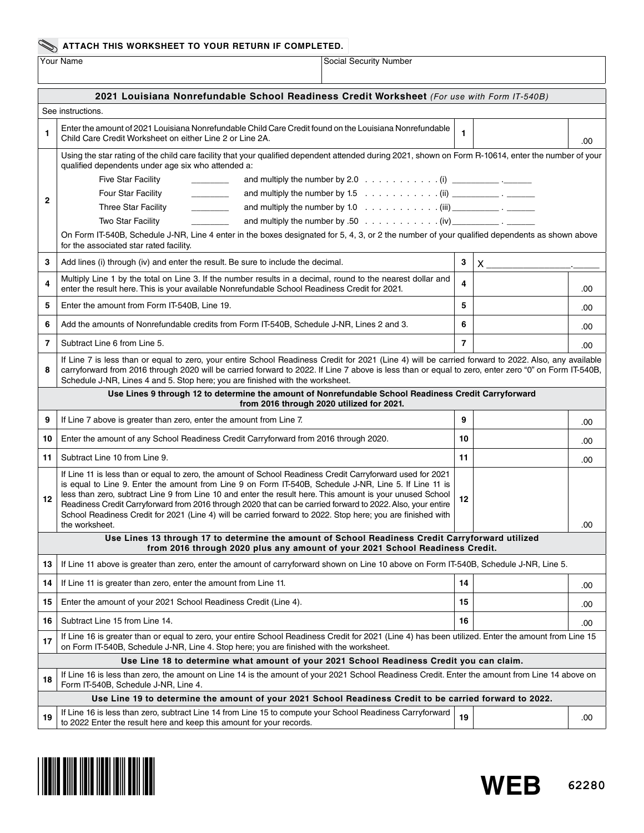# **ATTACH THIS WORKSHEET TO YOUR RETURN IF COMPLETED.**

Social Security Number

| 2021 Louisiana Nonrefundable School Readiness Credit Worksheet (For use with Form IT-540B)              |                                                                                                                                                                                                                                                                                                                                                                                                                                                                                                                                                                                                                                                                                                                                                                             |                 |  |     |  |  |  |  |
|---------------------------------------------------------------------------------------------------------|-----------------------------------------------------------------------------------------------------------------------------------------------------------------------------------------------------------------------------------------------------------------------------------------------------------------------------------------------------------------------------------------------------------------------------------------------------------------------------------------------------------------------------------------------------------------------------------------------------------------------------------------------------------------------------------------------------------------------------------------------------------------------------|-----------------|--|-----|--|--|--|--|
| See instructions.                                                                                       |                                                                                                                                                                                                                                                                                                                                                                                                                                                                                                                                                                                                                                                                                                                                                                             |                 |  |     |  |  |  |  |
| 1                                                                                                       | Enter the amount of 2021 Louisiana Nonrefundable Child Care Credit found on the Louisiana Nonrefundable<br>Child Care Credit Worksheet on either Line 2 or Line 2A.                                                                                                                                                                                                                                                                                                                                                                                                                                                                                                                                                                                                         | 1               |  | .00 |  |  |  |  |
| $\mathbf{2}$                                                                                            | Using the star rating of the child care facility that your qualified dependent attended during 2021, shown on Form R-10614, enter the number of your<br>qualified dependents under age six who attended a:<br>Five Star Facility<br><u> De Carlos de Ca</u><br>Four Star Facility<br>and multiply the number by $1.5$ (ii) ____________ . _______<br>$\begin{tabular}{ccccc} \multicolumn{2}{c }{\textbf{1} & \textbf{2} & \textbf{3} & \textbf{4} & \textbf{5} & \textbf{5} & \textbf{6} & \textbf{7} & \textbf{8} & \textbf{9} & \textbf{10} & \textbf{10} & \textbf{10} & \textbf{10} & \textbf{10} & \textbf{10} & \textbf{10} & \textbf{10} & \textbf{10} & \textbf{10} & \textbf{10} & \textbf{10} & \textbf{10} & \textbf{10} & \textbf{10} & \textbf{10} & \textbf$ |                 |  |     |  |  |  |  |
|                                                                                                         | <b>Three Star Facility</b><br>$\overline{\phantom{a}}$<br>Two Star Facility<br>On Form IT-540B, Schedule J-NR, Line 4 enter in the boxes designated for 5, 4, 3, or 2 the number of your qualified dependents as shown above<br>for the associated star rated facility.                                                                                                                                                                                                                                                                                                                                                                                                                                                                                                     |                 |  |     |  |  |  |  |
| 3                                                                                                       | Add lines (i) through (iv) and enter the result. Be sure to include the decimal.                                                                                                                                                                                                                                                                                                                                                                                                                                                                                                                                                                                                                                                                                            | 3<br>$X \sim 1$ |  |     |  |  |  |  |
| 4                                                                                                       | Multiply Line 1 by the total on Line 3. If the number results in a decimal, round to the nearest dollar and<br>enter the result here. This is your available Nonrefundable School Readiness Credit for 2021.                                                                                                                                                                                                                                                                                                                                                                                                                                                                                                                                                                | 4               |  | .00 |  |  |  |  |
| 5                                                                                                       | Enter the amount from Form IT-540B, Line 19.                                                                                                                                                                                                                                                                                                                                                                                                                                                                                                                                                                                                                                                                                                                                | 5               |  | .00 |  |  |  |  |
| 6                                                                                                       | Add the amounts of Nonrefundable credits from Form IT-540B, Schedule J-NR, Lines 2 and 3.                                                                                                                                                                                                                                                                                                                                                                                                                                                                                                                                                                                                                                                                                   | 6               |  | .00 |  |  |  |  |
| 7                                                                                                       | Subtract Line 6 from Line 5.                                                                                                                                                                                                                                                                                                                                                                                                                                                                                                                                                                                                                                                                                                                                                | $\overline{7}$  |  | .00 |  |  |  |  |
| 8                                                                                                       | If Line 7 is less than or equal to zero, your entire School Readiness Credit for 2021 (Line 4) will be carried forward to 2022. Also, any available<br>carryforward from 2016 through 2020 will be carried forward to 2022. If Line 7 above is less than or equal to zero, enter zero "0" on Form IT-540B,<br>Schedule J-NR, Lines 4 and 5. Stop here; you are finished with the worksheet.                                                                                                                                                                                                                                                                                                                                                                                 |                 |  |     |  |  |  |  |
|                                                                                                         | Use Lines 9 through 12 to determine the amount of Nonrefundable School Readiness Credit Carryforward<br>from 2016 through 2020 utilized for 2021.                                                                                                                                                                                                                                                                                                                                                                                                                                                                                                                                                                                                                           |                 |  |     |  |  |  |  |
| 9                                                                                                       | If Line 7 above is greater than zero, enter the amount from Line 7.                                                                                                                                                                                                                                                                                                                                                                                                                                                                                                                                                                                                                                                                                                         | 9               |  | .00 |  |  |  |  |
| 10                                                                                                      | Enter the amount of any School Readiness Credit Carryforward from 2016 through 2020.                                                                                                                                                                                                                                                                                                                                                                                                                                                                                                                                                                                                                                                                                        | 10              |  | .00 |  |  |  |  |
| 11                                                                                                      | Subtract Line 10 from Line 9.                                                                                                                                                                                                                                                                                                                                                                                                                                                                                                                                                                                                                                                                                                                                               | 11              |  | .00 |  |  |  |  |
| 12                                                                                                      | If Line 11 is less than or equal to zero, the amount of School Readiness Credit Carryforward used for 2021<br>is equal to Line 9. Enter the amount from Line 9 on Form IT-540B, Schedule J-NR, Line 5. If Line 11 is<br>less than zero, subtract Line 9 from Line 10 and enter the result here. This amount is your unused School<br>Readiness Credit Carryforward from 2016 through 2020 that can be carried forward to 2022. Also, your entire<br>School Readiness Credit for 2021 (Line 4) will be carried forward to 2022. Stop here; you are finished with<br>the worksheet.                                                                                                                                                                                           | 12              |  | .00 |  |  |  |  |
|                                                                                                         | Use Lines 13 through 17 to determine the amount of School Readiness Credit Carryforward utilized<br>from 2016 through 2020 plus any amount of your 2021 School Readiness Credit.                                                                                                                                                                                                                                                                                                                                                                                                                                                                                                                                                                                            |                 |  |     |  |  |  |  |
| 13                                                                                                      | If Line 11 above is greater than zero, enter the amount of carryforward shown on Line 10 above on Form IT-540B, Schedule J-NR, Line 5.                                                                                                                                                                                                                                                                                                                                                                                                                                                                                                                                                                                                                                      |                 |  |     |  |  |  |  |
| 14                                                                                                      | If Line 11 is greater than zero, enter the amount from Line 11.                                                                                                                                                                                                                                                                                                                                                                                                                                                                                                                                                                                                                                                                                                             | 14              |  | .00 |  |  |  |  |
| 15                                                                                                      | Enter the amount of your 2021 School Readiness Credit (Line 4).                                                                                                                                                                                                                                                                                                                                                                                                                                                                                                                                                                                                                                                                                                             | 15              |  | .00 |  |  |  |  |
| 16                                                                                                      | Subtract Line 15 from Line 14.                                                                                                                                                                                                                                                                                                                                                                                                                                                                                                                                                                                                                                                                                                                                              | 16              |  | .00 |  |  |  |  |
| 17                                                                                                      | If Line 16 is greater than or equal to zero, your entire School Readiness Credit for 2021 (Line 4) has been utilized. Enter the amount from Line 15<br>on Form IT-540B, Schedule J-NR, Line 4. Stop here; you are finished with the worksheet.                                                                                                                                                                                                                                                                                                                                                                                                                                                                                                                              |                 |  |     |  |  |  |  |
| Use Line 18 to determine what amount of your 2021 School Readiness Credit you can claim.                |                                                                                                                                                                                                                                                                                                                                                                                                                                                                                                                                                                                                                                                                                                                                                                             |                 |  |     |  |  |  |  |
| 18                                                                                                      | If Line 16 is less than zero, the amount on Line 14 is the amount of your 2021 School Readiness Credit. Enter the amount from Line 14 above on<br>Form IT-540B, Schedule J-NR, Line 4.                                                                                                                                                                                                                                                                                                                                                                                                                                                                                                                                                                                      |                 |  |     |  |  |  |  |
| Use Line 19 to determine the amount of your 2021 School Readiness Credit to be carried forward to 2022. |                                                                                                                                                                                                                                                                                                                                                                                                                                                                                                                                                                                                                                                                                                                                                                             |                 |  |     |  |  |  |  |
| 19                                                                                                      | If Line 16 is less than zero, subtract Line 14 from Line 15 to compute your School Readiness Carryforward<br>to 2022 Enter the result here and keep this amount for your records.                                                                                                                                                                                                                                                                                                                                                                                                                                                                                                                                                                                           | 19              |  | .00 |  |  |  |  |